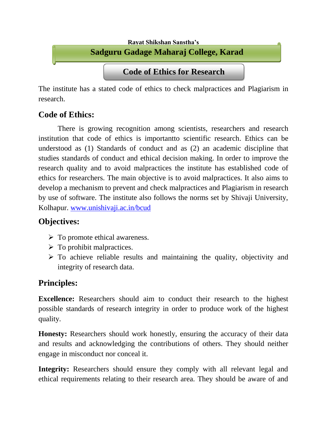

The institute has a stated code of ethics to check malpractices and Plagiarism in research.

## **Code of Ethics:**

There is growing recognition among scientists, researchers and research institution that code of ethics is importantto scientific research. Ethics can be understood as (1) Standards of conduct and as (2) an academic discipline that studies standards of conduct and ethical decision making. In order to improve the research quality and to avoid malpractices the institute has established code of ethics for researchers. The main objective is to avoid malpractices. It also aims to develop a mechanism to prevent and check malpractices and Plagiarism in research by use of software. The institute also follows the norms set by Shivaji University, Kolhapur. [www.unishivaji.ac.in/bcud](http://www.unishivaji.ac.in/bcud)

## **Objectives:**

- $\triangleright$  To promote ethical awareness.
- $\triangleright$  To prohibit malpractices.
- $\triangleright$  To achieve reliable results and maintaining the quality, objectivity and integrity of research data.

## **Principles:**

**Excellence:** Researchers should aim to conduct their research to the highest possible standards of research integrity in order to produce work of the highest quality.

**Honesty:** Researchers should work honestly, ensuring the accuracy of their data and results and acknowledging the contributions of others. They should neither engage in misconduct nor conceal it.

**Integrity:** Researchers should ensure they comply with all relevant legal and ethical requirements relating to their research area. They should be aware of and